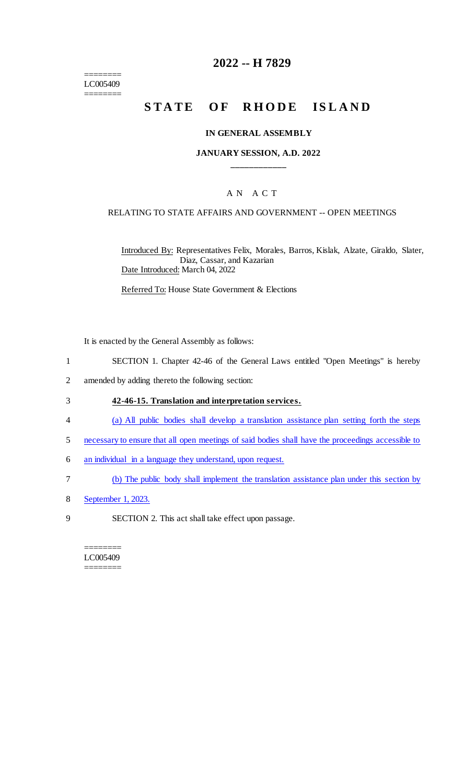======== LC005409 ========

# **2022 -- H 7829**

# **STATE OF RHODE ISLAND**

#### **IN GENERAL ASSEMBLY**

### **JANUARY SESSION, A.D. 2022 \_\_\_\_\_\_\_\_\_\_\_\_**

## A N A C T

#### RELATING TO STATE AFFAIRS AND GOVERNMENT -- OPEN MEETINGS

Introduced By: Representatives Felix, Morales, Barros, Kislak, Alzate, Giraldo, Slater, Diaz, Cassar, and Kazarian Date Introduced: March 04, 2022

Referred To: House State Government & Elections

It is enacted by the General Assembly as follows:

- 1 SECTION 1. Chapter 42-46 of the General Laws entitled "Open Meetings" is hereby
- 2 amended by adding thereto the following section:

#### 3 **42-46-15. Translation and interpretation services.**

- 4 (a) All public bodies shall develop a translation assistance plan setting forth the steps
- 5 necessary to ensure that all open meetings of said bodies shall have the proceedings accessible to
- 6 an individual in a language they understand, upon request.
- 7 (b) The public body shall implement the translation assistance plan under this section by
- 8 September 1, 2023.
- 9 SECTION 2. This act shall take effect upon passage.

#### ======== LC005409 ========